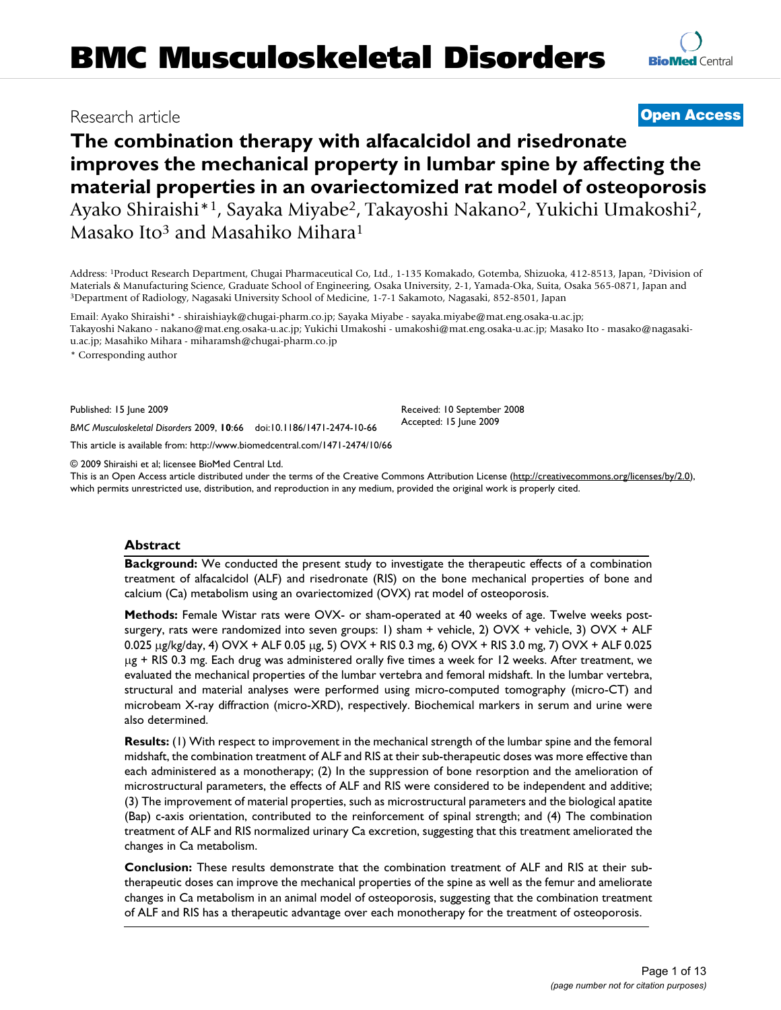# Research article **[Open Access](http://www.biomedcentral.com/info/about/charter/)**

**The combination therapy with alfacalcidol and risedronate improves the mechanical property in lumbar spine by affecting the material properties in an ovariectomized rat model of osteoporosis** Ayako Shiraishi\*1, Sayaka Miyabe2, Takayoshi Nakano2, Yukichi Umakoshi2, Masako Ito<sup>3</sup> and Masahiko Mihara<sup>1</sup>

Address: 1Product Research Department, Chugai Pharmaceutical Co, Ltd., 1-135 Komakado, Gotemba, Shizuoka, 412-8513, Japan, 2Division of Materials & Manufacturing Science, Graduate School of Engineering, Osaka University, 2-1, Yamada-Oka, Suita, Osaka 565-0871, Japan and 3Department of Radiology, Nagasaki University School of Medicine, 1-7-1 Sakamoto, Nagas

Email: Ayako Shiraishi\* - shiraishiayk@chugai-pharm.co.jp; Sayaka Miyabe - sayaka.miyabe@mat.eng.osaka-u.ac.jp; Takayoshi Nakano - nakano@mat.eng.osaka-u.ac.jp; Yukichi Umakoshi - umakoshi@mat.eng.osaka-u.ac.jp; Masako Ito - masako@nagasakiu.ac.jp; Masahiko Mihara - miharamsh@chugai-pharm.co.jp

\* Corresponding author

Published: 15 June 2009

*BMC Musculoskeletal Disorders* 2009, **10**:66 doi:10.1186/1471-2474-10-66

[This article is available from: http://www.biomedcentral.com/1471-2474/10/66](http://www.biomedcentral.com/1471-2474/10/66)

© 2009 Shiraishi et al; licensee BioMed Central Ltd.

This is an Open Access article distributed under the terms of the Creative Commons Attribution License [\(http://creativecommons.org/licenses/by/2.0\)](http://creativecommons.org/licenses/by/2.0), which permits unrestricted use, distribution, and reproduction in any medium, provided the original work is properly cited.

Received: 10 September 2008 Accepted: 15 June 2009

# **Abstract**

**Background:** We conducted the present study to investigate the therapeutic effects of a combination treatment of alfacalcidol (ALF) and risedronate (RIS) on the bone mechanical properties of bone and calcium (Ca) metabolism using an ovariectomized (OVX) rat model of osteoporosis.

**Methods:** Female Wistar rats were OVX- or sham-operated at 40 weeks of age. Twelve weeks postsurgery, rats were randomized into seven groups: 1) sham + vehicle, 2) OVX + vehicle, 3) OVX + ALF 0.025 μg/kg/day, 4) OVX + ALF 0.05 μg, 5) OVX + RIS 0.3 mg, 6) OVX + RIS 3.0 mg, 7) OVX + ALF 0.025 μg + RIS 0.3 mg. Each drug was administered orally five times a week for 12 weeks. After treatment, we evaluated the mechanical properties of the lumbar vertebra and femoral midshaft. In the lumbar vertebra, structural and material analyses were performed using micro-computed tomography (micro-CT) and microbeam X-ray diffraction (micro-XRD), respectively. Biochemical markers in serum and urine were also determined.

**Results:** (1) With respect to improvement in the mechanical strength of the lumbar spine and the femoral midshaft, the combination treatment of ALF and RIS at their sub-therapeutic doses was more effective than each administered as a monotherapy; (2) In the suppression of bone resorption and the amelioration of microstructural parameters, the effects of ALF and RIS were considered to be independent and additive; (3) The improvement of material properties, such as microstructural parameters and the biological apatite (Bap) c-axis orientation, contributed to the reinforcement of spinal strength; and (4) The combination treatment of ALF and RIS normalized urinary Ca excretion, suggesting that this treatment ameliorated the changes in Ca metabolism.

**Conclusion:** These results demonstrate that the combination treatment of ALF and RIS at their subtherapeutic doses can improve the mechanical properties of the spine as well as the femur and ameliorate changes in Ca metabolism in an animal model of osteoporosis, suggesting that the combination treatment of ALF and RIS has a therapeutic advantage over each monotherapy for the treatment of osteoporosis.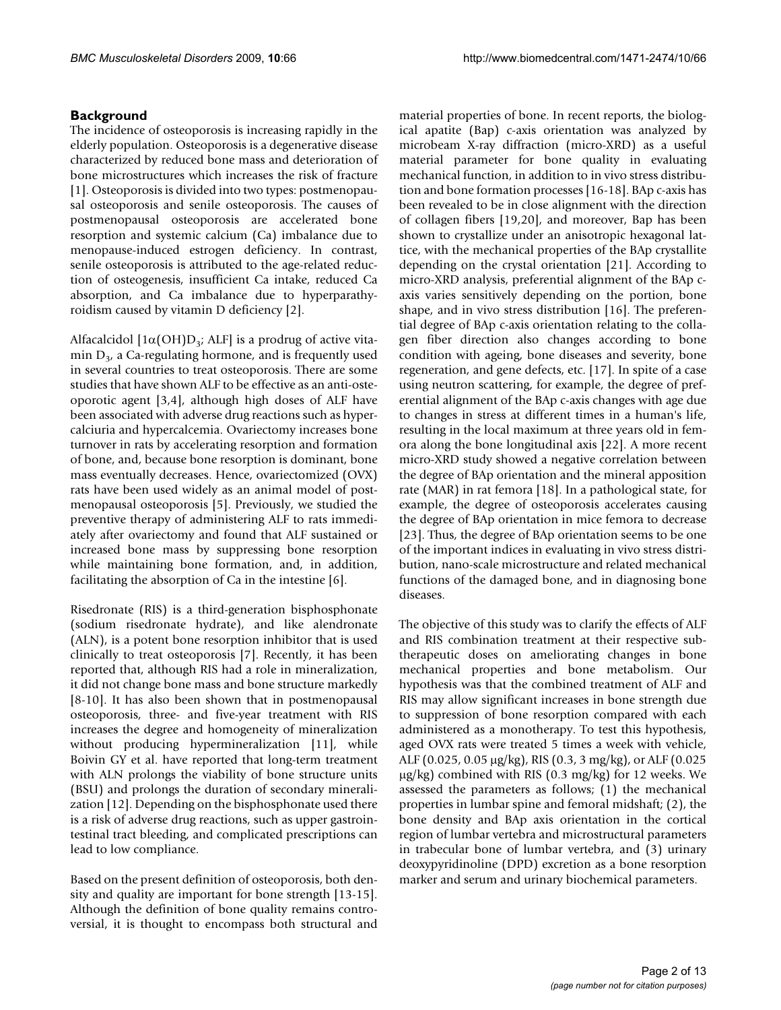## **Background**

The incidence of osteoporosis is increasing rapidly in the elderly population. Osteoporosis is a degenerative disease characterized by reduced bone mass and deterioration of bone microstructures which increases the risk of fracture [1]. Osteoporosis is divided into two types: postmenopausal osteoporosis and senile osteoporosis. The causes of postmenopausal osteoporosis are accelerated bone resorption and systemic calcium (Ca) imbalance due to menopause-induced estrogen deficiency. In contrast, senile osteoporosis is attributed to the age-related reduction of osteogenesis, insufficient Ca intake, reduced Ca absorption, and Ca imbalance due to hyperparathyroidism caused by vitamin D deficiency [2].

Alfacalcidol  $[1\alpha(OH)D_{3}$ ; ALF] is a prodrug of active vitamin  $D_{3}$ , a Ca-regulating hormone, and is frequently used in several countries to treat osteoporosis. There are some studies that have shown ALF to be effective as an anti-osteoporotic agent [3,4], although high doses of ALF have been associated with adverse drug reactions such as hypercalciuria and hypercalcemia. Ovariectomy increases bone turnover in rats by accelerating resorption and formation of bone, and, because bone resorption is dominant, bone mass eventually decreases. Hence, ovariectomized (OVX) rats have been used widely as an animal model of postmenopausal osteoporosis [5]. Previously, we studied the preventive therapy of administering ALF to rats immediately after ovariectomy and found that ALF sustained or increased bone mass by suppressing bone resorption while maintaining bone formation, and, in addition, facilitating the absorption of Ca in the intestine [6].

Risedronate (RIS) is a third-generation bisphosphonate (sodium risedronate hydrate), and like alendronate (ALN), is a potent bone resorption inhibitor that is used clinically to treat osteoporosis [7]. Recently, it has been reported that, although RIS had a role in mineralization, it did not change bone mass and bone structure markedly [8-10]. It has also been shown that in postmenopausal osteoporosis, three- and five-year treatment with RIS increases the degree and homogeneity of mineralization without producing hypermineralization [11], while Boivin GY et al. have reported that long-term treatment with ALN prolongs the viability of bone structure units (BSU) and prolongs the duration of secondary mineralization [12]. Depending on the bisphosphonate used there is a risk of adverse drug reactions, such as upper gastrointestinal tract bleeding, and complicated prescriptions can lead to low compliance.

Based on the present definition of osteoporosis, both density and quality are important for bone strength [13-15]. Although the definition of bone quality remains controversial, it is thought to encompass both structural and

material properties of bone. In recent reports, the biological apatite (Bap) c-axis orientation was analyzed by microbeam X-ray diffraction (micro-XRD) as a useful material parameter for bone quality in evaluating mechanical function, in addition to in vivo stress distribution and bone formation processes [16-18]. BAp c-axis has been revealed to be in close alignment with the direction of collagen fibers [19,20], and moreover, Bap has been shown to crystallize under an anisotropic hexagonal lattice, with the mechanical properties of the BAp crystallite depending on the crystal orientation [21]. According to micro-XRD analysis, preferential alignment of the BAp caxis varies sensitively depending on the portion, bone shape, and in vivo stress distribution [16]. The preferential degree of BAp c-axis orientation relating to the collagen fiber direction also changes according to bone condition with ageing, bone diseases and severity, bone regeneration, and gene defects, etc. [17]. In spite of a case using neutron scattering, for example, the degree of preferential alignment of the BAp c-axis changes with age due to changes in stress at different times in a human's life, resulting in the local maximum at three years old in femora along the bone longitudinal axis [22]. A more recent micro-XRD study showed a negative correlation between the degree of BAp orientation and the mineral apposition rate (MAR) in rat femora [18]. In a pathological state, for example, the degree of osteoporosis accelerates causing the degree of BAp orientation in mice femora to decrease [23]. Thus, the degree of BAp orientation seems to be one of the important indices in evaluating in vivo stress distribution, nano-scale microstructure and related mechanical functions of the damaged bone, and in diagnosing bone diseases.

The objective of this study was to clarify the effects of ALF and RIS combination treatment at their respective subtherapeutic doses on ameliorating changes in bone mechanical properties and bone metabolism. Our hypothesis was that the combined treatment of ALF and RIS may allow significant increases in bone strength due to suppression of bone resorption compared with each administered as a monotherapy. To test this hypothesis, aged OVX rats were treated 5 times a week with vehicle, ALF (0.025, 0.05 μg/kg), RIS (0.3, 3 mg/kg), or ALF (0.025 μg/kg) combined with RIS (0.3 mg/kg) for 12 weeks. We assessed the parameters as follows; (1) the mechanical properties in lumbar spine and femoral midshaft; (2), the bone density and BAp axis orientation in the cortical region of lumbar vertebra and microstructural parameters in trabecular bone of lumbar vertebra, and (3) urinary deoxypyridinoline (DPD) excretion as a bone resorption marker and serum and urinary biochemical parameters.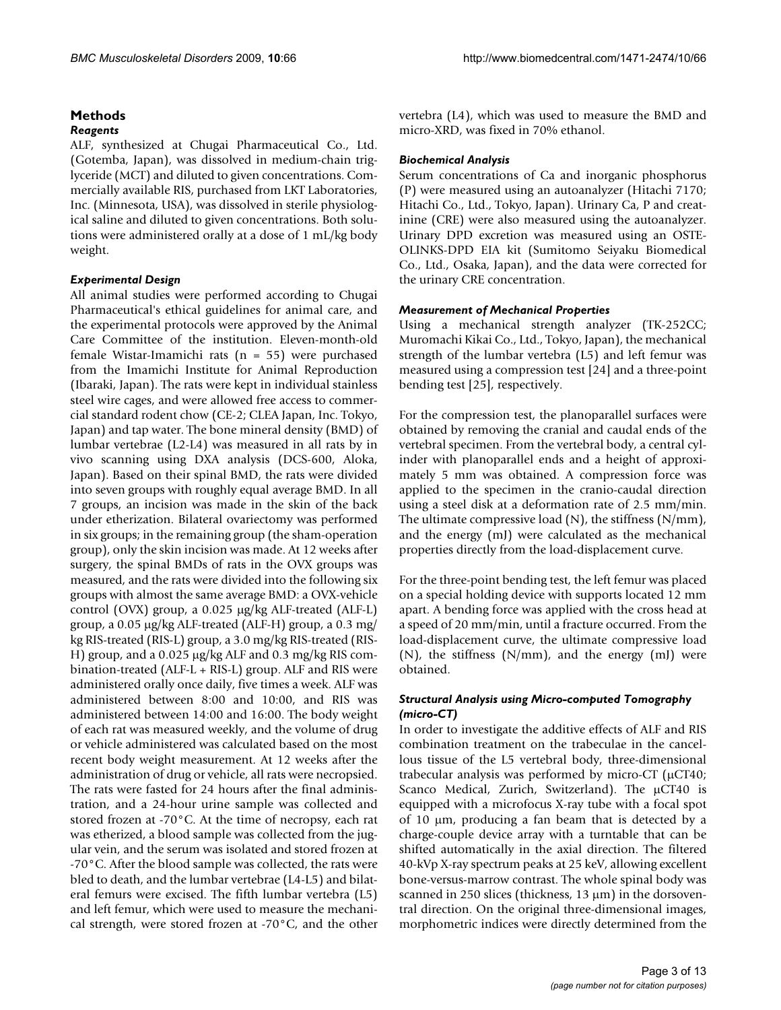## **Methods**

#### *Reagents*

ALF, synthesized at Chugai Pharmaceutical Co., Ltd. (Gotemba, Japan), was dissolved in medium-chain triglyceride (MCT) and diluted to given concentrations. Commercially available RIS, purchased from LKT Laboratories, Inc. (Minnesota, USA), was dissolved in sterile physiological saline and diluted to given concentrations. Both solutions were administered orally at a dose of 1 mL/kg body weight.

## *Experimental Design*

All animal studies were performed according to Chugai Pharmaceutical's ethical guidelines for animal care, and the experimental protocols were approved by the Animal Care Committee of the institution. Eleven-month-old female Wistar-Imamichi rats (n = 55) were purchased from the Imamichi Institute for Animal Reproduction (Ibaraki, Japan). The rats were kept in individual stainless steel wire cages, and were allowed free access to commercial standard rodent chow (CE-2; CLEA Japan, Inc. Tokyo, Japan) and tap water. The bone mineral density (BMD) of lumbar vertebrae (L2-L4) was measured in all rats by in vivo scanning using DXA analysis (DCS-600, Aloka, Japan). Based on their spinal BMD, the rats were divided into seven groups with roughly equal average BMD. In all 7 groups, an incision was made in the skin of the back under etherization. Bilateral ovariectomy was performed in six groups; in the remaining group (the sham-operation group), only the skin incision was made. At 12 weeks after surgery, the spinal BMDs of rats in the OVX groups was measured, and the rats were divided into the following six groups with almost the same average BMD: a OVX-vehicle control (OVX) group, a 0.025 μg/kg ALF-treated (ALF-L) group, a 0.05 μg/kg ALF-treated (ALF-H) group, a 0.3 mg/ kg RIS-treated (RIS-L) group, a 3.0 mg/kg RIS-treated (RIS-H) group, and a 0.025 μg/kg ALF and 0.3 mg/kg RIS combination-treated (ALF-L + RIS-L) group. ALF and RIS were administered orally once daily, five times a week. ALF was administered between 8:00 and 10:00, and RIS was administered between 14:00 and 16:00. The body weight of each rat was measured weekly, and the volume of drug or vehicle administered was calculated based on the most recent body weight measurement. At 12 weeks after the administration of drug or vehicle, all rats were necropsied. The rats were fasted for 24 hours after the final administration, and a 24-hour urine sample was collected and stored frozen at -70°C. At the time of necropsy, each rat was etherized, a blood sample was collected from the jugular vein, and the serum was isolated and stored frozen at -70°C. After the blood sample was collected, the rats were bled to death, and the lumbar vertebrae (L4-L5) and bilateral femurs were excised. The fifth lumbar vertebra (L5) and left femur, which were used to measure the mechanical strength, were stored frozen at -70°C, and the other

vertebra (L4), which was used to measure the BMD and micro-XRD, was fixed in 70% ethanol.

#### *Biochemical Analysis*

Serum concentrations of Ca and inorganic phosphorus (P) were measured using an autoanalyzer (Hitachi 7170; Hitachi Co., Ltd., Tokyo, Japan). Urinary Ca, P and creatinine (CRE) were also measured using the autoanalyzer. Urinary DPD excretion was measured using an OSTE-OLINKS-DPD EIA kit (Sumitomo Seiyaku Biomedical Co., Ltd., Osaka, Japan), and the data were corrected for the urinary CRE concentration.

## *Measurement of Mechanical Properties*

Using a mechanical strength analyzer (TK-252CC; Muromachi Kikai Co., Ltd., Tokyo, Japan), the mechanical strength of the lumbar vertebra (L5) and left femur was measured using a compression test [24] and a three-point bending test [25], respectively.

For the compression test, the planoparallel surfaces were obtained by removing the cranial and caudal ends of the vertebral specimen. From the vertebral body, a central cylinder with planoparallel ends and a height of approximately 5 mm was obtained. A compression force was applied to the specimen in the cranio-caudal direction using a steel disk at a deformation rate of 2.5 mm/min. The ultimate compressive load  $(N)$ , the stiffness  $(N/mm)$ , and the energy (mJ) were calculated as the mechanical properties directly from the load-displacement curve.

For the three-point bending test, the left femur was placed on a special holding device with supports located 12 mm apart. A bending force was applied with the cross head at a speed of 20 mm/min, until a fracture occurred. From the load-displacement curve, the ultimate compressive load  $(N)$ , the stiffness  $(N/mm)$ , and the energy  $(mJ)$  were obtained.

## *Structural Analysis using Micro-computed Tomography (micro-CT)*

In order to investigate the additive effects of ALF and RIS combination treatment on the trabeculae in the cancellous tissue of the L5 vertebral body, three-dimensional trabecular analysis was performed by micro-CT (μCT40; Scanco Medical, Zurich, Switzerland). The μCT40 is equipped with a microfocus X-ray tube with a focal spot of 10 μm, producing a fan beam that is detected by a charge-couple device array with a turntable that can be shifted automatically in the axial direction. The filtered 40-kVp X-ray spectrum peaks at 25 keV, allowing excellent bone-versus-marrow contrast. The whole spinal body was scanned in 250 slices (thickness, 13 μm) in the dorsoventral direction. On the original three-dimensional images, morphometric indices were directly determined from the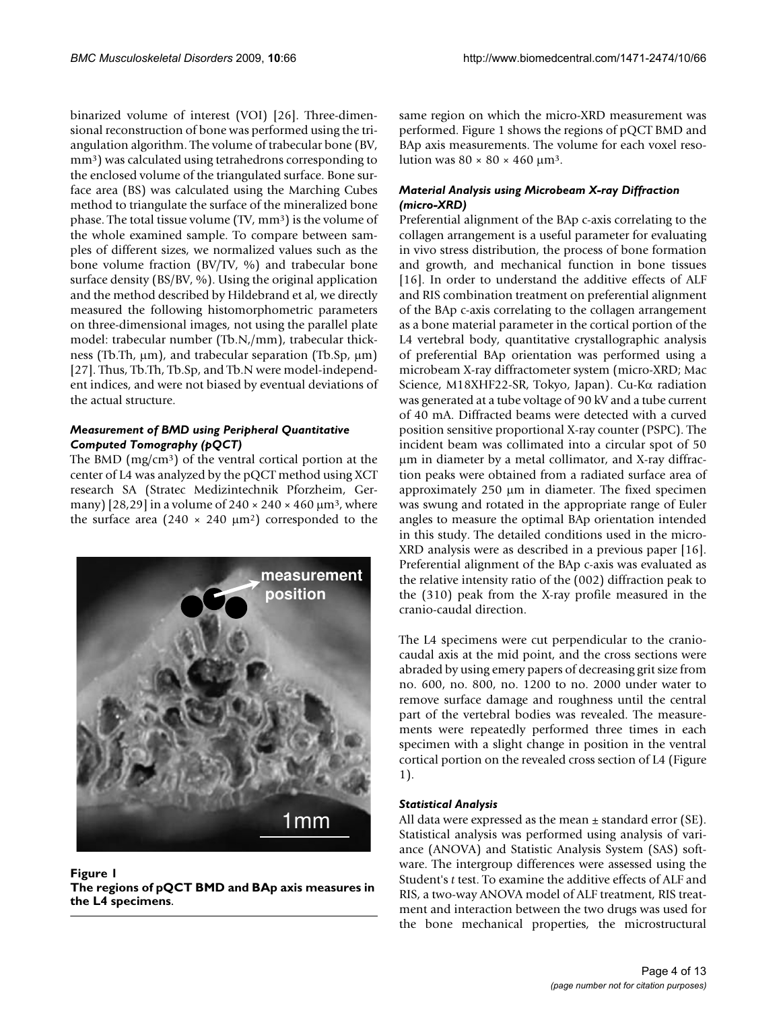binarized volume of interest (VOI) [26]. Three-dimensional reconstruction of bone was performed using the triangulation algorithm. The volume of trabecular bone (BV, mm<sup>3</sup>) was calculated using tetrahedrons corresponding to the enclosed volume of the triangulated surface. Bone surface area (BS) was calculated using the Marching Cubes method to triangulate the surface of the mineralized bone phase. The total tissue volume (TV, mm3) is the volume of the whole examined sample. To compare between samples of different sizes, we normalized values such as the bone volume fraction (BV/TV, %) and trabecular bone surface density (BS/BV, %). Using the original application and the method described by Hildebrand et al, we directly measured the following histomorphometric parameters on three-dimensional images, not using the parallel plate model: trabecular number (Tb.N,/mm), trabecular thickness (Tb.Th, μm), and trabecular separation (Tb.Sp, μm) [27]. Thus, Tb.Th, Tb.Sp, and Tb.N were model-independent indices, and were not biased by eventual deviations of the actual structure.

# *Measurement of BMD using Peripheral Quantitative Computed Tomography (pQCT)*

The BMD ( $mg/cm<sup>3</sup>$ ) of the ventral cortical portion at the center of L4 was analyzed by the pQCT method using XCT research SA (Stratec Medizintechnik Pforzheim, Germany) [28,29] in a volume of  $240 \times 240 \times 460$   $\mu$ m<sup>3</sup>, where the surface area (240  $\times$  240  $\mu$ m<sup>2</sup>) corresponded to the



Figure 1 **The regions of pQCT BMD and BAp axis measures in the L4 specimens**.

same region on which the micro-XRD measurement was performed. Figure 1 shows the regions of pQCT BMD and BAp axis measurements. The volume for each voxel resolution was  $80 \times 80 \times 460$   $\mu$ m<sup>3</sup>.

# *Material Analysis using Microbeam X-ray Diffraction (micro-XRD)*

Preferential alignment of the BAp c-axis correlating to the collagen arrangement is a useful parameter for evaluating in vivo stress distribution, the process of bone formation and growth, and mechanical function in bone tissues [16]. In order to understand the additive effects of ALF and RIS combination treatment on preferential alignment of the BAp c-axis correlating to the collagen arrangement as a bone material parameter in the cortical portion of the L4 vertebral body, quantitative crystallographic analysis of preferential BAp orientation was performed using a microbeam X-ray diffractometer system (micro-XRD; Mac Science, M18XHF22-SR, Tokyo, Japan). Cu-Kα radiation was generated at a tube voltage of 90 kV and a tube current of 40 mA. Diffracted beams were detected with a curved position sensitive proportional X-ray counter (PSPC). The incident beam was collimated into a circular spot of 50 μm in diameter by a metal collimator, and X-ray diffraction peaks were obtained from a radiated surface area of approximately 250 μm in diameter. The fixed specimen was swung and rotated in the appropriate range of Euler angles to measure the optimal BAp orientation intended in this study. The detailed conditions used in the micro-XRD analysis were as described in a previous paper [16]. Preferential alignment of the BAp c-axis was evaluated as the relative intensity ratio of the (002) diffraction peak to the (310) peak from the X-ray profile measured in the cranio-caudal direction.

The L4 specimens were cut perpendicular to the craniocaudal axis at the mid point, and the cross sections were abraded by using emery papers of decreasing grit size from no. 600, no. 800, no. 1200 to no. 2000 under water to remove surface damage and roughness until the central part of the vertebral bodies was revealed. The measurements were repeatedly performed three times in each specimen with a slight change in position in the ventral cortical portion on the revealed cross section of L4 (Figure 1).

## *Statistical Analysis*

All data were expressed as the mean  $\pm$  standard error (SE). Statistical analysis was performed using analysis of variance (ANOVA) and Statistic Analysis System (SAS) software. The intergroup differences were assessed using the Student's *t* test. To examine the additive effects of ALF and RIS, a two-way ANOVA model of ALF treatment, RIS treatment and interaction between the two drugs was used for the bone mechanical properties, the microstructural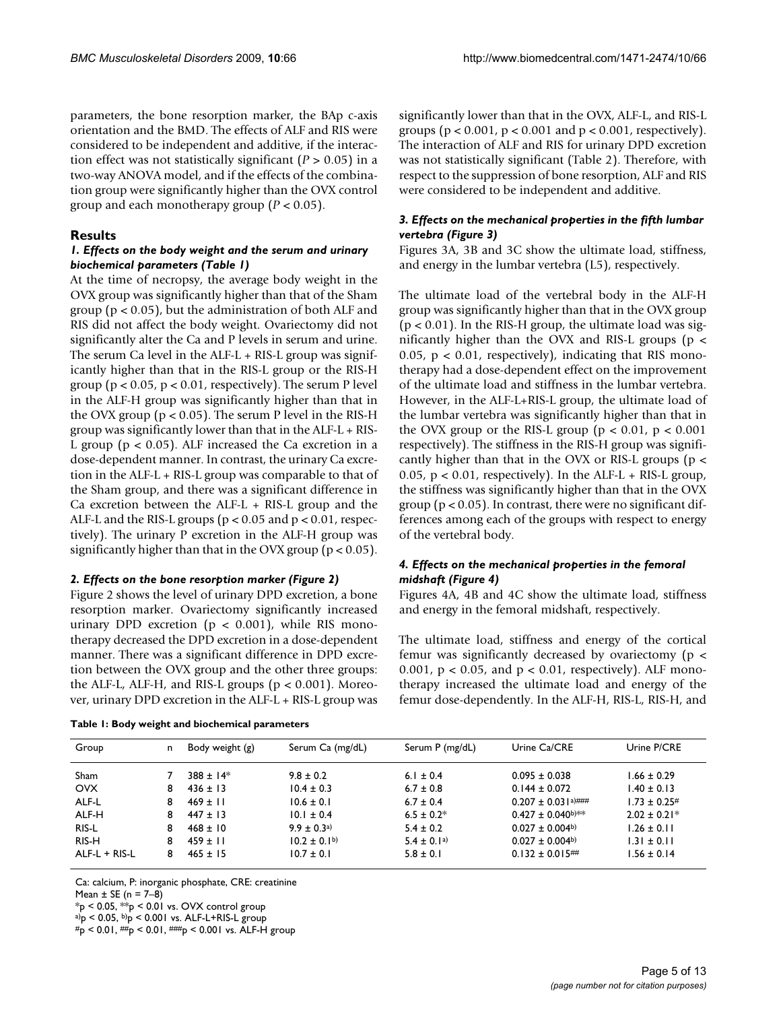parameters, the bone resorption marker, the BAp c-axis orientation and the BMD. The effects of ALF and RIS were considered to be independent and additive, if the interaction effect was not statistically significant (*P* > 0.05) in a two-way ANOVA model, and if the effects of the combination group were significantly higher than the OVX control group and each monotherapy group (*P* < 0.05).

#### **Results**

## *1. Effects on the body weight and the serum and urinary biochemical parameters (Table 1)*

At the time of necropsy, the average body weight in the OVX group was significantly higher than that of the Sham group ( $p < 0.05$ ), but the administration of both ALF and RIS did not affect the body weight. Ovariectomy did not significantly alter the Ca and P levels in serum and urine. The serum Ca level in the ALF-L + RIS-L group was significantly higher than that in the RIS-L group or the RIS-H group ( $p < 0.05$ ,  $p < 0.01$ , respectively). The serum P level in the ALF-H group was significantly higher than that in the OVX group ( $p < 0.05$ ). The serum P level in the RIS-H group was significantly lower than that in the ALF-L + RIS-L group ( $p < 0.05$ ). ALF increased the Ca excretion in a dose-dependent manner. In contrast, the urinary Ca excretion in the ALF-L + RIS-L group was comparable to that of the Sham group, and there was a significant difference in Ca excretion between the  $ALF-L + RIS-L$  group and the ALF-L and the RIS-L groups ( $p < 0.05$  and  $p < 0.01$ , respectively). The urinary P excretion in the ALF-H group was significantly higher than that in the OVX group ( $p < 0.05$ ).

#### *2. Effects on the bone resorption marker (Figure 2)*

Figure 2 shows the level of urinary DPD excretion, a bone resorption marker. Ovariectomy significantly increased urinary DPD excretion ( $p < 0.001$ ), while RIS monotherapy decreased the DPD excretion in a dose-dependent manner. There was a significant difference in DPD excretion between the OVX group and the other three groups: the ALF-L, ALF-H, and RIS-L groups (p < 0.001). Moreover, urinary DPD excretion in the ALF-L + RIS-L group was

|  |  |  | Table 1: Body weight and biochemical parameters |  |
|--|--|--|-------------------------------------------------|--|
|--|--|--|-------------------------------------------------|--|

significantly lower than that in the OVX, ALF-L, and RIS-L groups ( $p < 0.001$ ,  $p < 0.001$  and  $p < 0.001$ , respectively). The interaction of ALF and RIS for urinary DPD excretion was not statistically significant (Table 2). Therefore, with respect to the suppression of bone resorption, ALF and RIS were considered to be independent and additive.

#### *3. Effects on the mechanical properties in the fifth lumbar vertebra (Figure 3)*

Figures 3A, 3B and 3C show the ultimate load, stiffness, and energy in the lumbar vertebra (L5), respectively.

The ultimate load of the vertebral body in the ALF-H group was significantly higher than that in the OVX group  $(p < 0.01)$ . In the RIS-H group, the ultimate load was significantly higher than the OVX and RIS-L groups (p < 0.05,  $p < 0.01$ , respectively), indicating that RIS monotherapy had a dose-dependent effect on the improvement of the ultimate load and stiffness in the lumbar vertebra. However, in the ALF-L+RIS-L group, the ultimate load of the lumbar vertebra was significantly higher than that in the OVX group or the RIS-L group ( $p < 0.01$ ,  $p < 0.001$ ) respectively). The stiffness in the RIS-H group was significantly higher than that in the OVX or RIS-L groups ( $p <$ 0.05,  $p < 0.01$ , respectively). In the ALF-L + RIS-L group, the stiffness was significantly higher than that in the OVX group ( $p < 0.05$ ). In contrast, there were no significant differences among each of the groups with respect to energy of the vertebral body.

## *4. Effects on the mechanical properties in the femoral midshaft (Figure 4)*

Figures 4A, 4B and 4C show the ultimate load, stiffness and energy in the femoral midshaft, respectively.

The ultimate load, stiffness and energy of the cortical femur was significantly decreased by ovariectomy (p < 0.001,  $p < 0.05$ , and  $p < 0.01$ , respectively). ALF monotherapy increased the ultimate load and energy of the femur dose-dependently. In the ALF-H, RIS-L, RIS-H, and

| Group         | n. | Body weight (g) | Serum Ca (mg/dL)              | Serum P (mg/dL) | Urine Ca/CRE                     | Urine P/CRE       |
|---------------|----|-----------------|-------------------------------|-----------------|----------------------------------|-------------------|
| Sham          |    | $388 \pm 14*$   | $9.8 \pm 0.2$                 | $6.1 \pm 0.4$   | $0.095 \pm 0.038$                | $1.66 \pm 0.29$   |
| <b>OVX</b>    | 8  | $436 \pm 13$    | $10.4 \pm 0.3$                | $6.7 \pm 0.8$   | $0.144 \pm 0.072$                | $1.40 \pm 0.13$   |
| ALF-L         | 8  | $469 \pm 11$    | $10.6 \pm 0.1$                | $6.7 \pm 0.4$   | $0.207 \pm 0.031$ a)###          | $1.73 \pm 0.25$ # |
| ALF-H         | 8  | $447 \pm 13$    | $10.1 \pm 0.4$                | $6.5 \pm 0.2$ * | $0.427 \pm 0.040$ b)**           | $2.02 \pm 0.21*$  |
| RIS-L         | 8  | $468 \pm 10$    | $9.9 \pm 0.3$ <sup>a)</sup>   | $5.4 \pm 0.2$   | $0.027 \pm 0.004$ <sup>b)</sup>  | $1.26 \pm 0.11$   |
| RIS-H         | 8  | $459 \pm 11$    | $10.2 \pm 0.1$ <sup>b</sup> ) | $5.4 \pm 0.1a$  | $0.027 \pm 0.004$ <sup>b</sup> ) | $1.31 \pm 0.11$   |
| ALF-L + RIS-L | 8  | $465 \pm 15$    | $10.7 \pm 0.1$                | $5.8 \pm 0.1$   | $0.132 \pm 0.015$ ##             | $1.56 \pm 0.14$   |

Ca: calcium, P: inorganic phosphate, CRE: creatinine

Mean  $\pm$  SE (n = 7-8)

 $*_{p}$  < 0.05,  $*_{p}$  < 0.01 vs. OVX control group

 $a$ <sup>)</sup>p < 0.05,  $b$ <sup>)</sup>p < 0.001 vs. ALF-L+RIS-L group

 $#p$  < 0.01,  $#p$  < 0.01,  $#mp$  < 0.001 vs. ALF-H group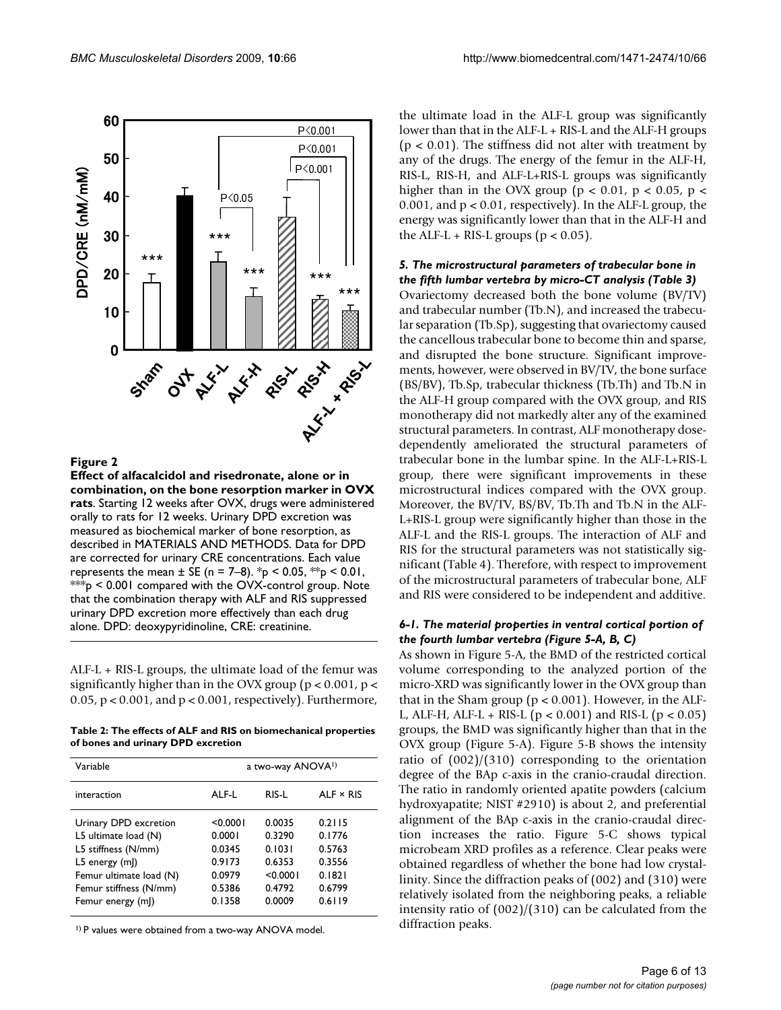

#### Figure 2

**Effect of alfacalcidol and risedronate, alone or in combination, on the bone resorption marker in OVX rats**. Starting 12 weeks after OVX, drugs were administered orally to rats for 12 weeks. Urinary DPD excretion was measured as biochemical marker of bone resorption, as described in MATERIALS AND METHODS. Data for DPD are corrected for urinary CRE concentrations. Each value represents the mean  $\pm$  SE (n = 7–8).  $*_{p}$  < 0.05,  $*_{p}$  < 0.01,  $**$ <sub>p</sub> < 0.001 compared with the OVX-control group. Note that the combination therapy with ALF and RIS suppressed urinary DPD excretion more effectively than each drug alone. DPD: deoxypyridinoline, CRE: creatinine.

ALF-L + RIS-L groups, the ultimate load of the femur was significantly higher than in the OVX group ( $p < 0.001$ ,  $p <$  $0.05$ ,  $p < 0.001$ , and  $p < 0.001$ , respectively). Furthermore,

**Table 2: The effects of ALF and RIS on biomechanical properties of bones and urinary DPD excretion**

| a two-way ANOVA <sup>1)</sup> |          |           |  |
|-------------------------------|----------|-----------|--|
| ALF-L                         | RIS-I    | ALF × RIS |  |
| < 0.0001                      | 0.0035   | 0.2115    |  |
| 0.0001                        | 0.3290   | 0.1776    |  |
| 0.0345                        | 0.1031   | 0.5763    |  |
| 0.9173                        | 0.6353   | 0.3556    |  |
| 0.0979                        | < 0.0001 | 0.1821    |  |
| 0.5386                        | 0.4792   | 0.6799    |  |
| 0.1358                        | 0.0009   | 0.6119    |  |
|                               |          |           |  |

1) P values were obtained from a two-way ANOVA model.

the ultimate load in the ALF-L group was significantly lower than that in the ALF-L + RIS-L and the ALF-H groups  $(p < 0.01)$ . The stiffness did not alter with treatment by any of the drugs. The energy of the femur in the ALF-H, RIS-L, RIS-H, and ALF-L+RIS-L groups was significantly higher than in the OVX group ( $p < 0.01$ ,  $p < 0.05$ ,  $p <$ 0.001, and p < 0.01, respectively). In the ALF-L group, the energy was significantly lower than that in the ALF-H and the ALF-L + RIS-L groups  $(p < 0.05)$ .

#### *5. The microstructural parameters of trabecular bone in the fifth lumbar vertebra by micro-CT analysis (Table 3)*

Ovariectomy decreased both the bone volume (BV/TV) and trabecular number (Tb.N), and increased the trabecular separation (Tb.Sp), suggesting that ovariectomy caused the cancellous trabecular bone to become thin and sparse, and disrupted the bone structure. Significant improvements, however, were observed in BV/TV, the bone surface (BS/BV), Tb.Sp, trabecular thickness (Tb.Th) and Tb.N in the ALF-H group compared with the OVX group, and RIS monotherapy did not markedly alter any of the examined structural parameters. In contrast, ALF monotherapy dosedependently ameliorated the structural parameters of trabecular bone in the lumbar spine. In the ALF-L+RIS-L group, there were significant improvements in these microstructural indices compared with the OVX group. Moreover, the BV/TV, BS/BV, Tb.Th and Tb.N in the ALF-L+RIS-L group were significantly higher than those in the ALF-L and the RIS-L groups. The interaction of ALF and RIS for the structural parameters was not statistically significant (Table 4). Therefore, with respect to improvement of the microstructural parameters of trabecular bone, ALF and RIS were considered to be independent and additive.

#### *6-1. The material properties in ventral cortical portion of the fourth lumbar vertebra (Figure 5-A, B, C)*

As shown in Figure 5-A, the BMD of the restricted cortical volume corresponding to the analyzed portion of the micro-XRD was significantly lower in the OVX group than that in the Sham group ( $p < 0.001$ ). However, in the ALF-L, ALF-H, ALF-L + RIS-L ( $p < 0.001$ ) and RIS-L ( $p < 0.05$ ) groups, the BMD was significantly higher than that in the OVX group (Figure 5-A). Figure 5-B shows the intensity ratio of (002)/(310) corresponding to the orientation degree of the BAp c-axis in the cranio-craudal direction. The ratio in randomly oriented apatite powders (calcium hydroxyapatite; NIST #2910) is about 2, and preferential alignment of the BAp c-axis in the cranio-craudal direction increases the ratio. Figure 5-C shows typical microbeam XRD profiles as a reference. Clear peaks were obtained regardless of whether the bone had low crystallinity. Since the diffraction peaks of (002) and (310) were relatively isolated from the neighboring peaks, a reliable intensity ratio of  $(002)/(310)$  can be calculated from the diffraction peaks.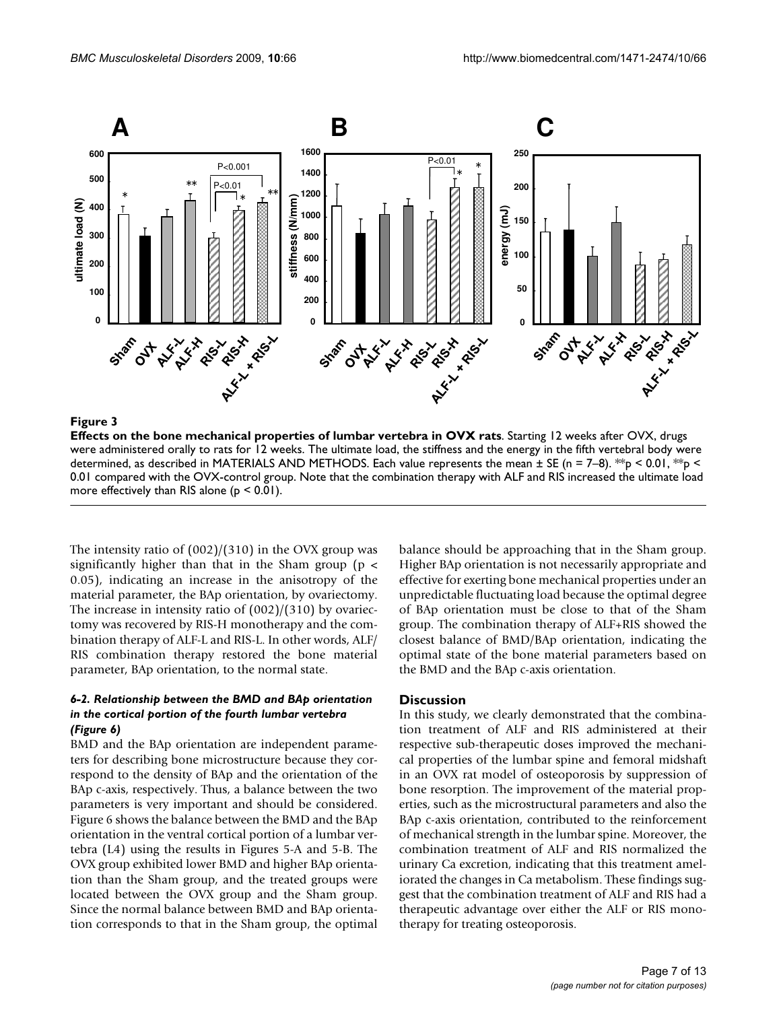

#### Figure 3

**Effects on the bone mechanical properties of lumbar vertebra in OVX rats**. Starting 12 weeks after OVX, drugs were administered orally to rats for 12 weeks. The ultimate load, the stiffness and the energy in the fifth vertebral body were determined, as described in MATERIALS AND METHODS. Each value represents the mean  $\pm$  SE (n = 7–8). \*\*p < 0.01, \*\*p < 0.01 compared with the OVX-control group. Note that the combination therapy with ALF and RIS increased the ultimate load

The intensity ratio of (002)/(310) in the OVX group was significantly higher than that in the Sham group ( $p <$ 0.05), indicating an increase in the anisotropy of the material parameter, the BAp orientation, by ovariectomy. The increase in intensity ratio of (002)/(310) by ovariectomy was recovered by RIS-H monotherapy and the combination therapy of ALF-L and RIS-L. In other words, ALF/ RIS combination therapy restored the bone material parameter, BAp orientation, to the normal state.

# *6-2. Relationship between the BMD and BAp orientation in the cortical portion of the fourth lumbar vertebra (Figure 6)*

BMD and the BAp orientation are independent parameters for describing bone microstructure because they correspond to the density of BAp and the orientation of the BAp c-axis, respectively. Thus, a balance between the two parameters is very important and should be considered. Figure 6 shows the balance between the BMD and the BAp orientation in the ventral cortical portion of a lumbar vertebra (L4) using the results in Figures 5-A and 5-B. The OVX group exhibited lower BMD and higher BAp orientation than the Sham group, and the treated groups were located between the OVX group and the Sham group. Since the normal balance between BMD and BAp orientation corresponds to that in the Sham group, the optimal

balance should be approaching that in the Sham group. Higher BAp orientation is not necessarily appropriate and effective for exerting bone mechanical properties under an unpredictable fluctuating load because the optimal degree of BAp orientation must be close to that of the Sham group. The combination therapy of ALF+RIS showed the closest balance of BMD/BAp orientation, indicating the optimal state of the bone material parameters based on the BMD and the BAp c-axis orientation.

#### **Discussion**

In this study, we clearly demonstrated that the combination treatment of ALF and RIS administered at their respective sub-therapeutic doses improved the mechanical properties of the lumbar spine and femoral midshaft in an OVX rat model of osteoporosis by suppression of bone resorption. The improvement of the material properties, such as the microstructural parameters and also the BAp c-axis orientation, contributed to the reinforcement of mechanical strength in the lumbar spine. Moreover, the combination treatment of ALF and RIS normalized the urinary Ca excretion, indicating that this treatment ameliorated the changes in Ca metabolism. These findings suggest that the combination treatment of ALF and RIS had a therapeutic advantage over either the ALF or RIS monotherapy for treating osteoporosis.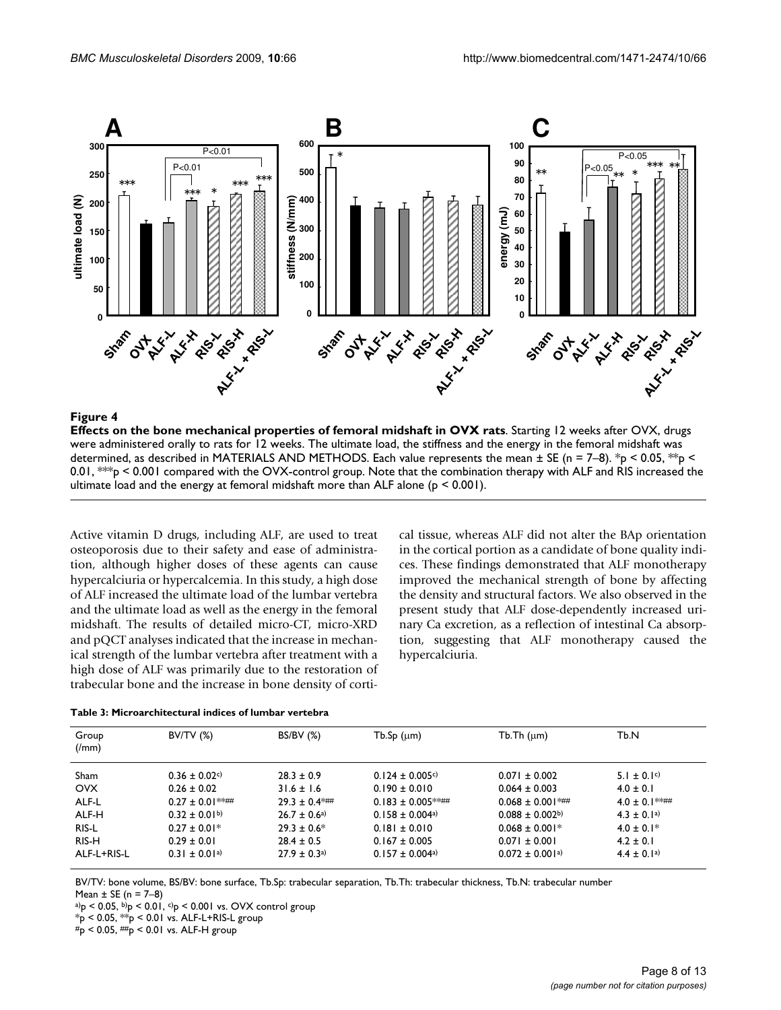

#### Figure 4

**Effects on the bone mechanical properties of femoral midshaft in OVX rats**. Starting 12 weeks after OVX, drugs were administered orally to rats for 12 weeks. The ultimate load, the stiffness and the energy in the femoral midshaft was determined, as described in MATERIALS AND METHODS. Each value represents the mean ± SE (n = 7–8). \*p < 0.05, \*\*p < 0.01,  $**p < 0.001$  compared with the OVX-control group. Note that the combination therapy with ALF and RIS increased the ultimate load and the energy at femoral midshaft more than ALF alone ( $p \le 0.001$ ).

Active vitamin D drugs, including ALF, are used to treat osteoporosis due to their safety and ease of administration, although higher doses of these agents can cause hypercalciuria or hypercalcemia. In this study, a high dose of ALF increased the ultimate load of the lumbar vertebra and the ultimate load as well as the energy in the femoral midshaft. The results of detailed micro-CT, micro-XRD and pQCT analyses indicated that the increase in mechanical strength of the lumbar vertebra after treatment with a high dose of ALF was primarily due to the restoration of trabecular bone and the increase in bone density of cortical tissue, whereas ALF did not alter the BAp orientation in the cortical portion as a candidate of bone quality indices. These findings demonstrated that ALF monotherapy improved the mechanical strength of bone by affecting the density and structural factors. We also observed in the present study that ALF dose-dependently increased urinary Ca excretion, as a reflection of intestinal Ca absorption, suggesting that ALF monotherapy caused the hypercalciuria.

| Group<br>('mm) | BV/TV (%)                    | <b>BS/BV</b> (%)             | Tb(Sp (µm))                     | Tb.Th $(\mu m)$                 | Tb.N                         |
|----------------|------------------------------|------------------------------|---------------------------------|---------------------------------|------------------------------|
| Sham           | $0.36 \pm 0.02$ c)           | $28.3 \pm 0.9$               | $0.124 \pm 0.005$ c)            | $0.071 \pm 0.002$               | 5.1 $\pm$ 0.1 <sup>c</sup> ) |
| <b>OVX</b>     | $0.26 \pm 0.02$              | $31.6 \pm 1.6$               | $0.190 \pm 0.010$               | $0.064 \pm 0.003$               | $4.0 \pm 0.1$                |
| ALF-L          | $0.27 \pm 0.01$ **##         | $29.3 \pm 0.4$ *##           | $0.183 \pm 0.005$ **##          | $0.068 \pm 0.001$ *##           | $4.0 \pm 0.1$ **##           |
| ALF-H          | $0.32 \pm 0.01^{b}$          | $26.7 \pm 0.6^{\text{a}}$    | $0.158 \pm 0.004$ <sup>a)</sup> | $0.088 \pm 0.002^{b}$           | $4.3 \pm 0.1^{a}$            |
| RIS-L          | $0.27 \pm 0.01*$             | $29.3 \pm 0.6^*$             | $0.181 \pm 0.010$               | $0.068 \pm 0.001*$              | $4.0 \pm 0.1*$               |
| RIS-H          | $0.29 \pm 0.01$              | $28.4 \pm 0.5$               | $0.167 \pm 0.005$               | $0.071 \pm 0.001$               | $4.2 \pm 0.1$                |
| ALF-L+RIS-L    | $0.31 \pm 0.01$ <sup>a</sup> | $27.9 \pm 0.3$ <sup>a)</sup> | $0.157 \pm 0.004a$              | $0.072 \pm 0.001$ <sup>a)</sup> | $4.4 \pm 0.1^{a}$            |

BV/TV: bone volume, BS/BV: bone surface, Tb.Sp: trabecular separation, Tb.Th: trabecular thickness, Tb.N: trabecular number

Mean  $\pm$  SE (n = 7–8)

a)p < 0.05,  $\dot{p}$ )  $\leq$  0.01,  $\dot{q}$   $\geq$  0.001 vs. OVX control group

 $*_{p}$  < 0.05,  $*_{p}$  < 0.01 vs. ALF-L+RIS-L group

 $#p$  < 0.05,  $#p$  < 0.01 vs. ALF-H group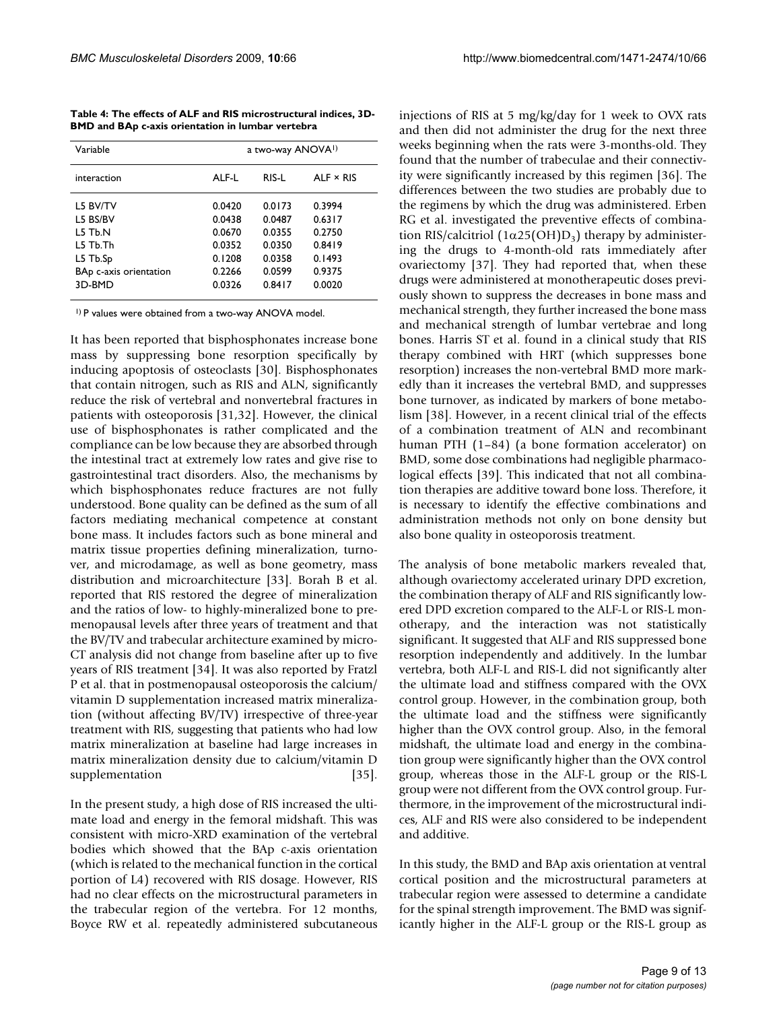| Table 4: The effects of ALF and RIS microstructural indices, 3D- |  |
|------------------------------------------------------------------|--|
| <b>BMD</b> and <b>BA</b> p c-axis orientation in lumbar vertebra |  |

| Variable               | a two-way ANOVA <sup>1)</sup> |        |           |  |
|------------------------|-------------------------------|--------|-----------|--|
| interaction            | AI F-I                        | RIS-L  | ALF × RIS |  |
| L5 BV/TV               | 0.0420                        | 0.0173 | 0.3994    |  |
| L5 BS/BV               | 0.0438                        | 0.0487 | 0.6317    |  |
| 15 Th.N                | 0.0670                        | 0.0355 | 0.2750    |  |
| L5 Tb.Th               | 0.0352                        | 0.0350 | 0.8419    |  |
| L5 Tb.Sp               | 0.1208                        | 0.0358 | 0.1493    |  |
| BAp c-axis orientation | 0.2266                        | 0.0599 | 0.9375    |  |
| 3D-BMD                 | 0.0326                        | 0.8417 | 0.0020    |  |

1) P values were obtained from a two-way ANOVA model.

It has been reported that bisphosphonates increase bone mass by suppressing bone resorption specifically by inducing apoptosis of osteoclasts [30]. Bisphosphonates that contain nitrogen, such as RIS and ALN, significantly reduce the risk of vertebral and nonvertebral fractures in patients with osteoporosis [31,32]. However, the clinical use of bisphosphonates is rather complicated and the compliance can be low because they are absorbed through the intestinal tract at extremely low rates and give rise to gastrointestinal tract disorders. Also, the mechanisms by which bisphosphonates reduce fractures are not fully understood. Bone quality can be defined as the sum of all factors mediating mechanical competence at constant bone mass. It includes factors such as bone mineral and matrix tissue properties defining mineralization, turnover, and microdamage, as well as bone geometry, mass distribution and microarchitecture [33]. Borah B et al. reported that RIS restored the degree of mineralization and the ratios of low- to highly-mineralized bone to premenopausal levels after three years of treatment and that the BV/TV and trabecular architecture examined by micro-CT analysis did not change from baseline after up to five years of RIS treatment [34]. It was also reported by Fratzl P et al. that in postmenopausal osteoporosis the calcium/ vitamin D supplementation increased matrix mineralization (without affecting BV/TV) irrespective of three-year treatment with RIS, suggesting that patients who had low matrix mineralization at baseline had large increases in matrix mineralization density due to calcium/vitamin D supplementation [35].

In the present study, a high dose of RIS increased the ultimate load and energy in the femoral midshaft. This was consistent with micro-XRD examination of the vertebral bodies which showed that the BAp c-axis orientation (which is related to the mechanical function in the cortical portion of L4) recovered with RIS dosage. However, RIS had no clear effects on the microstructural parameters in the trabecular region of the vertebra. For 12 months, Boyce RW et al. repeatedly administered subcutaneous

injections of RIS at 5 mg/kg/day for 1 week to OVX rats and then did not administer the drug for the next three weeks beginning when the rats were 3-months-old. They found that the number of trabeculae and their connectivity were significantly increased by this regimen [36]. The differences between the two studies are probably due to the regimens by which the drug was administered. Erben RG et al. investigated the preventive effects of combination RIS/calcitriol (1 $\alpha$ 25(OH)D<sub>3</sub>) therapy by administering the drugs to 4-month-old rats immediately after ovariectomy [37]. They had reported that, when these drugs were administered at monotherapeutic doses previously shown to suppress the decreases in bone mass and mechanical strength, they further increased the bone mass and mechanical strength of lumbar vertebrae and long bones. Harris ST et al. found in a clinical study that RIS therapy combined with HRT (which suppresses bone resorption) increases the non-vertebral BMD more markedly than it increases the vertebral BMD, and suppresses bone turnover, as indicated by markers of bone metabolism [38]. However, in a recent clinical trial of the effects of a combination treatment of ALN and recombinant human PTH (1–84) (a bone formation accelerator) on BMD, some dose combinations had negligible pharmacological effects [39]. This indicated that not all combination therapies are additive toward bone loss. Therefore, it is necessary to identify the effective combinations and administration methods not only on bone density but also bone quality in osteoporosis treatment.

The analysis of bone metabolic markers revealed that, although ovariectomy accelerated urinary DPD excretion, the combination therapy of ALF and RIS significantly lowered DPD excretion compared to the ALF-L or RIS-L monotherapy, and the interaction was not statistically significant. It suggested that ALF and RIS suppressed bone resorption independently and additively. In the lumbar vertebra, both ALF-L and RIS-L did not significantly alter the ultimate load and stiffness compared with the OVX control group. However, in the combination group, both the ultimate load and the stiffness were significantly higher than the OVX control group. Also, in the femoral midshaft, the ultimate load and energy in the combination group were significantly higher than the OVX control group, whereas those in the ALF-L group or the RIS-L group were not different from the OVX control group. Furthermore, in the improvement of the microstructural indices, ALF and RIS were also considered to be independent and additive.

In this study, the BMD and BAp axis orientation at ventral cortical position and the microstructural parameters at trabecular region were assessed to determine a candidate for the spinal strength improvement. The BMD was significantly higher in the ALF-L group or the RIS-L group as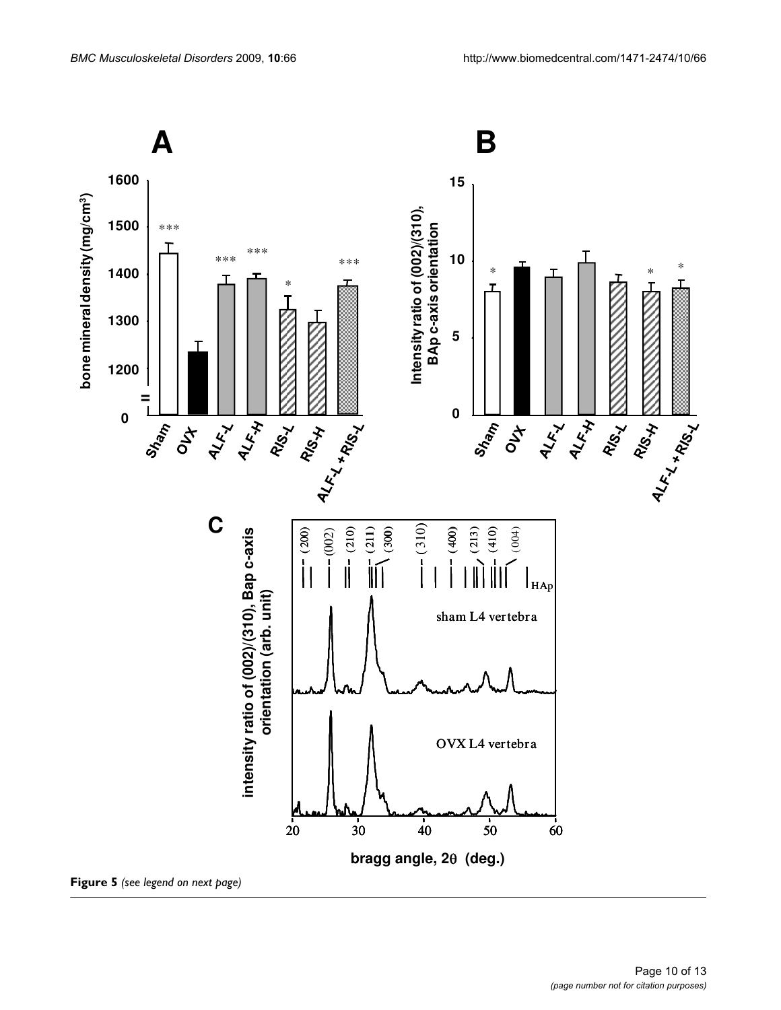

Page 10 of 13 *(page number not for citation purposes)*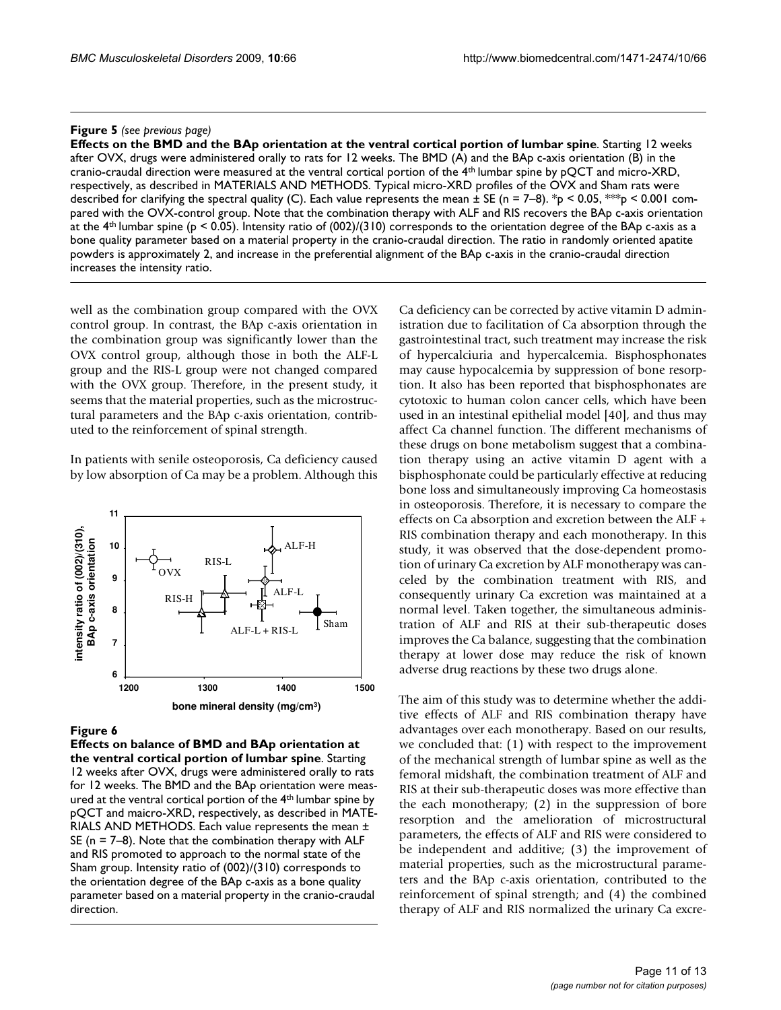#### **Figure 5** (see previous page)

**Effects on the BMD and the BAp orientation at the ventral cortical portion of lumbar spine**. Starting 12 weeks after OVX, drugs were administered orally to rats for 12 weeks. The BMD (A) and the BAp c-axis orientation (B) in the cranio-craudal direction were measured at the ventral cortical portion of the 4th lumbar spine by pQCT and micro-XRD, respectively, as described in MATERIALS AND METHODS. Typical micro-XRD profiles of the OVX and Sham rats were described for clarifying the spectral quality (C). Each value represents the mean  $\pm$  SE (n = 7–8). \*p < 0.05, \*\*p < 0.001 compared with the OVX-control group. Note that the combination therapy with ALF and RIS recovers the BAp c-axis orientation at the 4<sup>th</sup> lumbar spine ( $p < 0.05$ ). Intensity ratio of (002)/(310) corresponds to the orientation degree of the BAp c-axis as a bone quality parameter based on a material property in the cranio-craudal direction. The ratio in randomly oriented apatite powders is approximately 2, and increase in the preferential alignment of the BAp c-axis in the cranio-craudal direction increases the intensity ratio.

well as the combination group compared with the OVX control group. In contrast, the BAp c-axis orientation in the combination group was significantly lower than the OVX control group, although those in both the ALF-L group and the RIS-L group were not changed compared with the OVX group. Therefore, in the present study, it seems that the material properties, such as the microstructural parameters and the BAp c-axis orientation, contributed to the reinforcement of spinal strength.

In patients with senile osteoporosis, Ca deficiency caused by low absorption of Ca may be a problem. Although this



#### Figure 6

**Effects on balance of BMD and BAp orientation at the ventral cortical portion of lumbar spine**. Starting 12 weeks after OVX, drugs were administered orally to rats for 12 weeks. The BMD and the BAp orientation were measured at the ventral cortical portion of the 4th lumbar spine by pQCT and maicro-XRD, respectively, as described in MATE-RIALS AND METHODS. Each value represents the mean ± SE ( $n = 7-8$ ). Note that the combination therapy with ALF and RIS promoted to approach to the normal state of the Sham group. Intensity ratio of (002)/(310) corresponds to the orientation degree of the BAp c-axis as a bone quality parameter based on a material property in the cranio-craudal direction.

Ca deficiency can be corrected by active vitamin D administration due to facilitation of Ca absorption through the gastrointestinal tract, such treatment may increase the risk of hypercalciuria and hypercalcemia. Bisphosphonates may cause hypocalcemia by suppression of bone resorption. It also has been reported that bisphosphonates are cytotoxic to human colon cancer cells, which have been used in an intestinal epithelial model [40], and thus may affect Ca channel function. The different mechanisms of these drugs on bone metabolism suggest that a combination therapy using an active vitamin D agent with a bisphosphonate could be particularly effective at reducing bone loss and simultaneously improving Ca homeostasis in osteoporosis. Therefore, it is necessary to compare the effects on Ca absorption and excretion between the ALF + RIS combination therapy and each monotherapy. In this study, it was observed that the dose-dependent promotion of urinary Ca excretion by ALF monotherapy was canceled by the combination treatment with RIS, and consequently urinary Ca excretion was maintained at a normal level. Taken together, the simultaneous administration of ALF and RIS at their sub-therapeutic doses improves the Ca balance, suggesting that the combination therapy at lower dose may reduce the risk of known adverse drug reactions by these two drugs alone.

The aim of this study was to determine whether the additive effects of ALF and RIS combination therapy have advantages over each monotherapy. Based on our results, we concluded that: (1) with respect to the improvement of the mechanical strength of lumbar spine as well as the femoral midshaft, the combination treatment of ALF and RIS at their sub-therapeutic doses was more effective than the each monotherapy; (2) in the suppression of bore resorption and the amelioration of microstructural parameters, the effects of ALF and RIS were considered to be independent and additive; (3) the improvement of material properties, such as the microstructural parameters and the BAp c-axis orientation, contributed to the reinforcement of spinal strength; and (4) the combined therapy of ALF and RIS normalized the urinary Ca excre-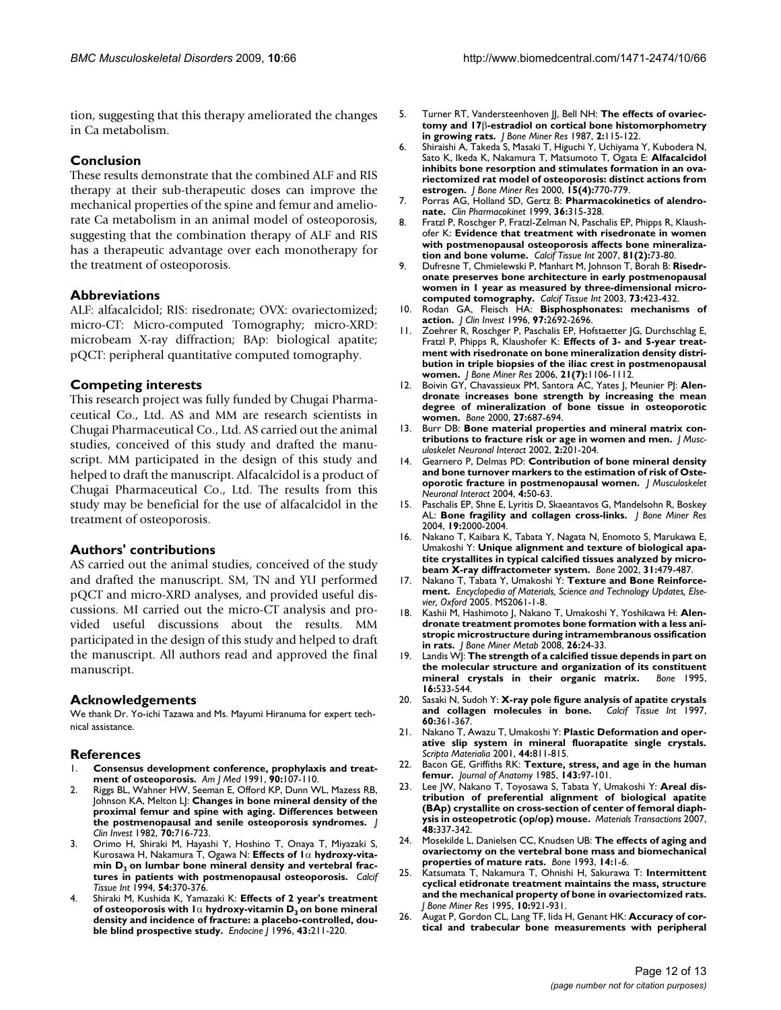tion, suggesting that this therapy ameliorated the changes in Ca metabolism.

## **Conclusion**

These results demonstrate that the combined ALF and RIS therapy at their sub-therapeutic doses can improve the mechanical properties of the spine and femur and ameliorate Ca metabolism in an animal model of osteoporosis, suggesting that the combination therapy of ALF and RIS has a therapeutic advantage over each monotherapy for the treatment of osteoporosis.

## **Abbreviations**

ALF: alfacalcidol; RIS: risedronate; OVX: ovariectomized; micro-CT: Micro-computed Tomography; micro-XRD: microbeam X-ray diffraction; BAp: biological apatite; pQCT: peripheral quantitative computed tomography.

## **Competing interests**

This research project was fully funded by Chugai Pharmaceutical Co., Ltd. AS and MM are research scientists in Chugai Pharmaceutical Co., Ltd. AS carried out the animal studies, conceived of this study and drafted the manuscript. MM participated in the design of this study and helped to draft the manuscript. Alfacalcidol is a product of Chugai Pharmaceutical Co., Ltd. The results from this study may be beneficial for the use of alfacalcidol in the treatment of osteoporosis.

#### **Authors' contributions**

AS carried out the animal studies, conceived of the study and drafted the manuscript. SM, TN and YU performed pQCT and micro-XRD analyses, and provided useful discussions. MI carried out the micro-CT analysis and provided useful discussions about the results. MM participated in the design of this study and helped to draft the manuscript. All authors read and approved the final manuscript.

#### **Acknowledgements**

We thank Dr. Yo-ichi Tazawa and Ms. Mayumi Hiranuma for expert technical assistance.

#### **References**

- 1. **[Consensus development conference, prophylaxis and treat](http://www.ncbi.nlm.nih.gov/entrez/query.fcgi?cmd=Retrieve&db=PubMed&dopt=Abstract&list_uids=1986575)[ment of osteoporosis.](http://www.ncbi.nlm.nih.gov/entrez/query.fcgi?cmd=Retrieve&db=PubMed&dopt=Abstract&list_uids=1986575)** *Am J Med* 1991, **90:**107-110.
- 2. Riggs BL, Wahner HW, Seeman E, Offord KP, Dunn WL, Mazess RB, Johnson KA, Melton LJ: **[Changes in bone mineral density of the](http://www.ncbi.nlm.nih.gov/entrez/query.fcgi?cmd=Retrieve&db=PubMed&dopt=Abstract&list_uids=7119111) [proximal femur and spine with aging. Differences between](http://www.ncbi.nlm.nih.gov/entrez/query.fcgi?cmd=Retrieve&db=PubMed&dopt=Abstract&list_uids=7119111) [the postmenopausal and senile osteoporosis syndromes.](http://www.ncbi.nlm.nih.gov/entrez/query.fcgi?cmd=Retrieve&db=PubMed&dopt=Abstract&list_uids=7119111)** *J Clin Invest* 1982, **70:**716-723.
- 3. Orimo H, Shiraki M, Hayashi Y, Hoshino T, Onaya T, Miyazaki S, Kurosawa H, Nakamura T, Ogawa N: **Effects of 1**α **hydroxy-vita**min D<sub>3</sub> [on lumbar bone mineral density and vertebral frac](http://www.ncbi.nlm.nih.gov/entrez/query.fcgi?cmd=Retrieve&db=PubMed&dopt=Abstract&list_uids=8062152)**[tures in patients with postmenopausal osteoporosis.](http://www.ncbi.nlm.nih.gov/entrez/query.fcgi?cmd=Retrieve&db=PubMed&dopt=Abstract&list_uids=8062152)** *Calcif Tissue Int* 1994, **54:**370-376.
- 4. Shiraki M, Kushida K, Yamazaki K: **Effects of 2 year's treatment of osteoporosis with 1**α hydroxy-vitamin D<sub>3</sub> on bone mineral **density and incidence of fracture: a placebo-controlled, double blind prospective study.** *Endocine J* 1996, **43:**211-220.
- 5. Turner RT, Vandersteenhoven JJ, Bell NH: **The effects of ovariectomy and 17**β**[-estradiol on cortical bone histomorphometry](http://www.ncbi.nlm.nih.gov/entrez/query.fcgi?cmd=Retrieve&db=PubMed&dopt=Abstract&list_uids=3455160) [in growing rats.](http://www.ncbi.nlm.nih.gov/entrez/query.fcgi?cmd=Retrieve&db=PubMed&dopt=Abstract&list_uids=3455160)** *J Bone Miner Res* 1987, **2:**115-122.
- 6. Shiraishi A, Takeda S, Masaki T, Higuchi Y, Uchiyama Y, Kubodera N, Sato K, Ikeda K, Nakamura T, Matsumoto T, Ogata E: **[Alfacalcidol](http://www.ncbi.nlm.nih.gov/entrez/query.fcgi?cmd=Retrieve&db=PubMed&dopt=Abstract&list_uids=10780869) [inhibits bone resorption and stimulates formation in an ova](http://www.ncbi.nlm.nih.gov/entrez/query.fcgi?cmd=Retrieve&db=PubMed&dopt=Abstract&list_uids=10780869)riectomized rat model of osteoporosis: distinct actions from [estrogen.](http://www.ncbi.nlm.nih.gov/entrez/query.fcgi?cmd=Retrieve&db=PubMed&dopt=Abstract&list_uids=10780869)** *J Bone Miner Res* 2000, **15(4):**770-779.
- 7. Porras AG, Holland SD, Gertz B: **[Pharmacokinetics of alendro](http://www.ncbi.nlm.nih.gov/entrez/query.fcgi?cmd=Retrieve&db=PubMed&dopt=Abstract&list_uids=10384857)[nate.](http://www.ncbi.nlm.nih.gov/entrez/query.fcgi?cmd=Retrieve&db=PubMed&dopt=Abstract&list_uids=10384857)** *Clin Pharmacokinet* 1999, **36:**315-328.
- 8. Fratzl P, Roschger P, Fratzl-Zelman N, Paschalis EP, Phipps R, Klaushofer K: **[Evidence that treatment with risedronate in women](http://www.ncbi.nlm.nih.gov/entrez/query.fcgi?cmd=Retrieve&db=PubMed&dopt=Abstract&list_uids=17612779) [with postmenopausal osteoporosis affects bone mineraliza](http://www.ncbi.nlm.nih.gov/entrez/query.fcgi?cmd=Retrieve&db=PubMed&dopt=Abstract&list_uids=17612779)[tion and bone volume.](http://www.ncbi.nlm.nih.gov/entrez/query.fcgi?cmd=Retrieve&db=PubMed&dopt=Abstract&list_uids=17612779)** *Calcif Tissue Int* 2007, **81(2):**73-80.
- 9. Dufresne T, Chmielewski P, Manhart M, Johnson T, Borah B: **[Risedr](http://www.ncbi.nlm.nih.gov/entrez/query.fcgi?cmd=Retrieve&db=PubMed&dopt=Abstract&list_uids=12964065)[onate preserves bone architecture in early postmenopausal](http://www.ncbi.nlm.nih.gov/entrez/query.fcgi?cmd=Retrieve&db=PubMed&dopt=Abstract&list_uids=12964065) women in 1 year as measured by three-dimensional micro[computed tomography.](http://www.ncbi.nlm.nih.gov/entrez/query.fcgi?cmd=Retrieve&db=PubMed&dopt=Abstract&list_uids=12964065)** *Calcif Tissue Int* 2003, **73:**423-432.
- 10. Rodan GA, Fleisch HA: **[Bisphosphonates: mechanisms of](http://www.ncbi.nlm.nih.gov/entrez/query.fcgi?cmd=Retrieve&db=PubMed&dopt=Abstract&list_uids=8675678) [action.](http://www.ncbi.nlm.nih.gov/entrez/query.fcgi?cmd=Retrieve&db=PubMed&dopt=Abstract&list_uids=8675678)** *J Clin Invest* 1996, **97:**2692-2696.
- 11. Zoehrer R, Roschger P, Paschalis EP, Hofstaetter JG, Durchschlag E, Fratzl P, Phipps R, Klaushofer K: **[Effects of 3- and 5-year treat](http://www.ncbi.nlm.nih.gov/entrez/query.fcgi?cmd=Retrieve&db=PubMed&dopt=Abstract&list_uids=16813531)[ment with risedronate on bone mineralization density distri](http://www.ncbi.nlm.nih.gov/entrez/query.fcgi?cmd=Retrieve&db=PubMed&dopt=Abstract&list_uids=16813531)bution in triple biopsies of the iliac crest in postmenopausal [women.](http://www.ncbi.nlm.nih.gov/entrez/query.fcgi?cmd=Retrieve&db=PubMed&dopt=Abstract&list_uids=16813531)** *J Bone Miner Res* 2006, **21(7):**1106-1112.
- 12. Boivin GY, Chavassieux PM, Santora AC, Yates J, Meunier PJ: **[Alen](http://www.ncbi.nlm.nih.gov/entrez/query.fcgi?cmd=Retrieve&db=PubMed&dopt=Abstract&list_uids=11062357)[dronate increases bone strength by increasing the mean](http://www.ncbi.nlm.nih.gov/entrez/query.fcgi?cmd=Retrieve&db=PubMed&dopt=Abstract&list_uids=11062357) degree of mineralization of bone tissue in osteoporotic [women.](http://www.ncbi.nlm.nih.gov/entrez/query.fcgi?cmd=Retrieve&db=PubMed&dopt=Abstract&list_uids=11062357)** *Bone* 2000, **27:**687-694.
- 13. Burr DB: **[Bone material properties and mineral matrix con](http://www.ncbi.nlm.nih.gov/entrez/query.fcgi?cmd=Retrieve&db=PubMed&dopt=Abstract&list_uids=15758433)[tributions to fracture risk or age in women and men.](http://www.ncbi.nlm.nih.gov/entrez/query.fcgi?cmd=Retrieve&db=PubMed&dopt=Abstract&list_uids=15758433)** *J Musculoskelet Neuronal Interact* 2002, **2:**201-204.
- 14. Gearnero P, Delmas PD: **[Contribution of bone mineral density](http://www.ncbi.nlm.nih.gov/entrez/query.fcgi?cmd=Retrieve&db=PubMed&dopt=Abstract&list_uids=15615078) [and bone turnover markers to the estimation of risk of Oste](http://www.ncbi.nlm.nih.gov/entrez/query.fcgi?cmd=Retrieve&db=PubMed&dopt=Abstract&list_uids=15615078)[oporotic fracture in postmenopausal women.](http://www.ncbi.nlm.nih.gov/entrez/query.fcgi?cmd=Retrieve&db=PubMed&dopt=Abstract&list_uids=15615078)** *J Musculoskelet Neuronal Interact* 2004, **4:**50-63.
- 15. Paschalis EP, Shne E, Lyritis D, Skaeantavos G, Mandelsohn R, Boskey AL: **[Bone fragility and collagen cross-links.](http://www.ncbi.nlm.nih.gov/entrez/query.fcgi?cmd=Retrieve&db=PubMed&dopt=Abstract&list_uids=15537443)** *J Bone Miner Res* 2004, **19:**2000-2004.
- 16. Nakano T, Kaibara K, Tabata Y, Nagata N, Enomoto S, Marukawa E, Umakoshi Y: **[Unique alignment and texture of biological apa](http://www.ncbi.nlm.nih.gov/entrez/query.fcgi?cmd=Retrieve&db=PubMed&dopt=Abstract&list_uids=12398943)[tite crystallites in typical calcified tissues analyzed by micro](http://www.ncbi.nlm.nih.gov/entrez/query.fcgi?cmd=Retrieve&db=PubMed&dopt=Abstract&list_uids=12398943)[beam X-ray diffractometer system.](http://www.ncbi.nlm.nih.gov/entrez/query.fcgi?cmd=Retrieve&db=PubMed&dopt=Abstract&list_uids=12398943)** *Bone* 2002, **31:**479-487.
- 17. Nakano T, Tabata Y, Umakoshi Y: **Texture and Bone Reinforcement.** *Encyclopedia of Materials, Science and Technology Updates, Elsevier, Oxford* 2005. MS2061-1-8.
- 18. Kashii M, Hashimoto J, Nakano T, Umakoshi Y, Yoshikawa H: **[Alen](http://www.ncbi.nlm.nih.gov/entrez/query.fcgi?cmd=Retrieve&db=PubMed&dopt=Abstract&list_uids=18095060)[dronate treatment promotes bone formation with a less ani](http://www.ncbi.nlm.nih.gov/entrez/query.fcgi?cmd=Retrieve&db=PubMed&dopt=Abstract&list_uids=18095060)stropic microstructure during intramembranous ossification [in rats.](http://www.ncbi.nlm.nih.gov/entrez/query.fcgi?cmd=Retrieve&db=PubMed&dopt=Abstract&list_uids=18095060)** *J Bone Miner Metab* 2008, **26:**24-33.
- 19. Landis WJ: **[The strength of a calcified tissue depends in part on](http://www.ncbi.nlm.nih.gov/entrez/query.fcgi?cmd=Retrieve&db=PubMed&dopt=Abstract&list_uids=7654469) [the molecular structure and organization of its constituent](http://www.ncbi.nlm.nih.gov/entrez/query.fcgi?cmd=Retrieve&db=PubMed&dopt=Abstract&list_uids=7654469) [mineral crystals in their organic matrix.](http://www.ncbi.nlm.nih.gov/entrez/query.fcgi?cmd=Retrieve&db=PubMed&dopt=Abstract&list_uids=7654469)** *Bone* 1995, **16:**533-544.
- 20. Sasaki N, Sudoh Y: **[X-ray pole figure analysis of apatite crystals](http://www.ncbi.nlm.nih.gov/entrez/query.fcgi?cmd=Retrieve&db=PubMed&dopt=Abstract&list_uids=9075634)** [and collagen molecules in bone.](http://www.ncbi.nlm.nih.gov/entrez/query.fcgi?cmd=Retrieve&db=PubMed&dopt=Abstract&list_uids=9075634) **60:**361-367.
- 21. Nakano T, Awazu T, Umakoshi Y: **Plastic Deformation and operative slip system in mineral fluorapatite single crystals.** *Scripta Materialia* 2001, **44:**811-815.
- 22. Bacon GE, Griffiths RK: **[Texture, stress, and age in the human](http://www.ncbi.nlm.nih.gov/entrez/query.fcgi?cmd=Retrieve&db=PubMed&dopt=Abstract&list_uids=3870736) [femur.](http://www.ncbi.nlm.nih.gov/entrez/query.fcgi?cmd=Retrieve&db=PubMed&dopt=Abstract&list_uids=3870736)** *Journal of Anatomy* 1985, **143:**97-101.
- 23. Lee JW, Nakano T, Toyosawa S, Tabata Y, Umakoshi Y: **Areal distribution of preferential alignment of biological apatite (BAp) crystallite on cross-section of center of femoral diaphysis in osteopetrotic (op/op) mouse.** *Materials Transactions* 2007, **48:**337-342.
- 24. Mosekilde L, Danielsen CC, Knudsen UB: **[The effects of aging and](http://www.ncbi.nlm.nih.gov/entrez/query.fcgi?cmd=Retrieve&db=PubMed&dopt=Abstract&list_uids=8442996) [ovariectomy on the vertebral bone mass and biomechanical](http://www.ncbi.nlm.nih.gov/entrez/query.fcgi?cmd=Retrieve&db=PubMed&dopt=Abstract&list_uids=8442996) [properties of mature rats.](http://www.ncbi.nlm.nih.gov/entrez/query.fcgi?cmd=Retrieve&db=PubMed&dopt=Abstract&list_uids=8442996)** *Bone* 1993, **14:**1-6.
- 25. Katsumata T, Nakamura T, Ohnishi H, Sakurawa T: **[Intermittent](http://www.ncbi.nlm.nih.gov/entrez/query.fcgi?cmd=Retrieve&db=PubMed&dopt=Abstract&list_uids=7572316) [cyclical etidronate treatment maintains the mass, structure](http://www.ncbi.nlm.nih.gov/entrez/query.fcgi?cmd=Retrieve&db=PubMed&dopt=Abstract&list_uids=7572316) and the mechanical property of bone in ovariectomized rats.** *J Bone Miner Res* 1995, **10:**921-931.
- 26. Augat P, Gordon CL, Lang TF, Iida H, Genant HK: **[Accuracy of cor](http://www.ncbi.nlm.nih.gov/entrez/query.fcgi?cmd=Retrieve&db=PubMed&dopt=Abstract&list_uids=9814524)[tical and trabecular bone measurements with peripheral](http://www.ncbi.nlm.nih.gov/entrez/query.fcgi?cmd=Retrieve&db=PubMed&dopt=Abstract&list_uids=9814524)**